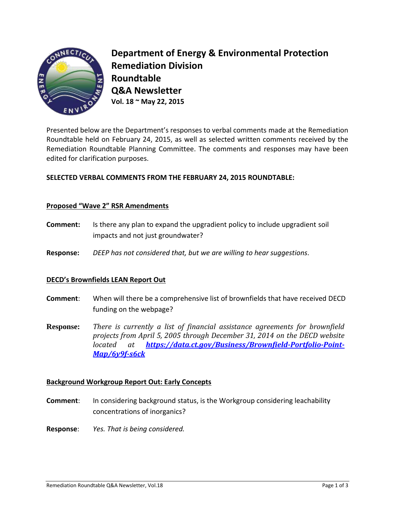

**Department of Energy & Environmental Protection Remediation Division Roundtable Q&A Newsletter Vol. 18 ~ May 22, 2015**

Presented below are the Department's responses to verbal comments made at the Remediation Roundtable held on February 24, 2015, as well as selected written comments received by the Remediation Roundtable Planning Committee. The comments and responses may have been edited for clarification purposes.

# **SELECTED VERBAL COMMENTS FROM THE FEBRUARY 24, 2015 ROUNDTABLE:**

## **Proposed "Wave 2" RSR Amendments**

- **Comment:** Is there any plan to expand the upgradient policy to include upgradient soil impacts and not just groundwater?
- **Response:** *DEEP has not considered that, but we are willing to hear suggestions.*

#### **DECD's Brownfields LEAN Report Out**

- **Comment**: When will there be a comprehensive list of brownfields that have received DECD funding on the webpage?
- **Response:** *There is currently a list of financial assistance agreements for brownfield projects from April 5, 2005 through December 31, 2014 on the DECD website located at [https://data.ct.gov/Business/Brownfield-Portfolio-Point-](https://data.ct.gov/Business/Brownfield-Portfolio-Point-Map/6y9f-s6ck)[Map/6y9f-s6ck](https://data.ct.gov/Business/Brownfield-Portfolio-Point-Map/6y9f-s6ck)*

## **Background Workgroup Report Out: Early Concepts**

- **Comment:** In considering background status, is the Workgroup considering leachability concentrations of inorganics?
- **Response**: *Yes. That is being considered.*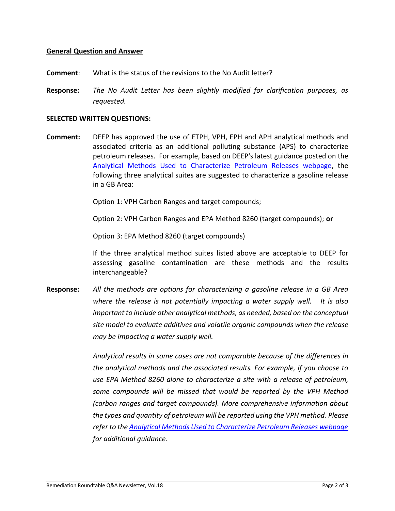### **General Question and Answer**

- **Comment**: What is the status of the revisions to the No Audit letter?
- **Response:** *The No Audit Letter has been slightly modified for clarification purposes, as requested.*

#### **SELECTED WRITTEN QUESTIONS:**

**Comment:** DEEP has approved the use of ETPH, VPH, EPH and APH analytical methods and associated criteria as an additional polluting substance (APS) to characterize petroleum releases. For example, based on DEEP's latest guidance posted on the [Analytical Methods Used to Characterize Petroleum Releases webpage,](http://www.ct.gov/deep/cwp/view.asp?a=2715&q=324956&deepNav_GID=1626) the following three analytical suites are suggested to characterize a gasoline release in a GB Area:

Option 1: VPH Carbon Ranges and target compounds;

Option 2: VPH Carbon Ranges and EPA Method 8260 (target compounds); **or**

Option 3: EPA Method 8260 (target compounds)

If the three analytical method suites listed above are acceptable to DEEP for assessing gasoline contamination are these methods and the results interchangeable?

**Response:** *All the methods are options for characterizing a gasoline release in a GB Area where the release is not potentially impacting a water supply well. It is also important to include other analytical methods, as needed, based on the conceptual site model to evaluate additives and volatile organic compounds when the release may be impacting a water supply well.* 

> *Analytical results in some cases are not comparable because of the differences in the analytical methods and the associated results. For example, if you choose to use EPA Method 8260 alone to characterize a site with a release of petroleum, some compounds will be missed that would be reported by the VPH Method (carbon ranges and target compounds). More comprehensive information about the types and quantity of petroleum will be reported using the VPH method. Please refer to th[e Analytical Methods Used to Characterize Petroleum Releases webpage](http://www.ct.gov/deep/cwp/view.asp?a=2715&q=324956&deepNav_GID=1626) for additional guidance.*